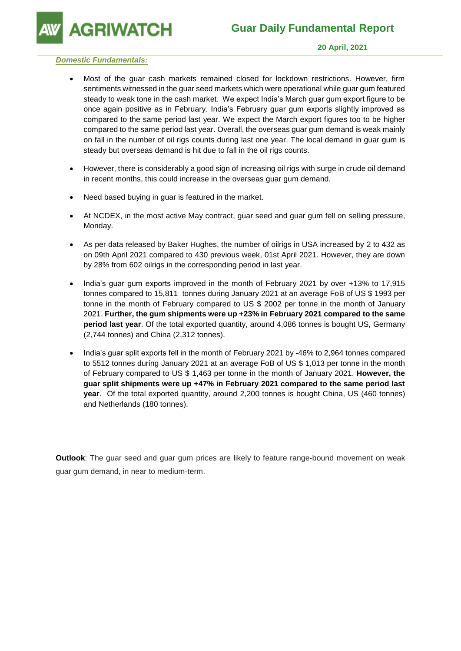**AGRIWATCH** 

## *Domestic Fundamentals:*

- Most of the guar cash markets remained closed for lockdown restrictions. However, firm sentiments witnessed in the guar seed markets which were operational while guar gum featured steady to weak tone in the cash market. We expect India's March guar gum export figure to be once again positive as in February. India's February guar gum exports slightly improved as compared to the same period last year. We expect the March export figures too to be higher compared to the same period last year. Overall, the overseas guar gum demand is weak mainly on fall in the number of oil rigs counts during last one year. The local demand in guar gum is steady but overseas demand is hit due to fall in the oil rigs counts.
- However, there is considerably a good sign of increasing oil rigs with surge in crude oil demand in recent months, this could increase in the overseas guar gum demand.
- Need based buying in guar is featured in the market.
- At NCDEX, in the most active May contract, guar seed and guar gum fell on selling pressure, Monday.
- As per data released by Baker Hughes, the number of oilrigs in USA increased by 2 to 432 as on 09th April 2021 compared to 430 previous week, 01st April 2021. However, they are down by 28% from 602 oilrigs in the corresponding period in last year.
- India's guar gum exports improved in the month of February 2021 by over +13% to 17,915 tonnes compared to 15,811 tonnes during January 2021 at an average FoB of US \$ 1993 per tonne in the month of February compared to US \$ 2002 per tonne in the month of January 2021. **Further, the gum shipments were up +23% in February 2021 compared to the same period last year**. Of the total exported quantity, around 4,086 tonnes is bought US, Germany (2,744 tonnes) and China (2,312 tonnes).
- India's guar split exports fell in the month of February 2021 by -46% to 2,964 tonnes compared to 5512 tonnes during January 2021 at an average FoB of US \$ 1,013 per tonne in the month of February compared to US \$ 1,463 per tonne in the month of January 2021. **However, the guar split shipments were up +47% in February 2021 compared to the same period last year**. Of the total exported quantity, around 2,200 tonnes is bought China, US (460 tonnes) and Netherlands (180 tonnes).

**Outlook**: The guar seed and guar gum prices are likely to feature range-bound movement on weak guar gum demand, in near to medium-term.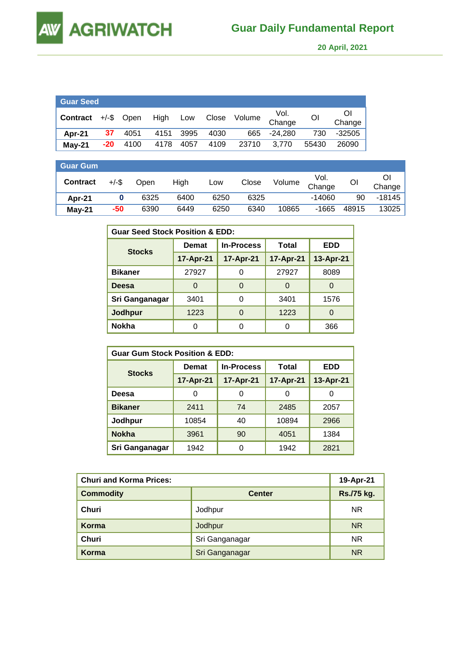**AGRIWATCH AW** 

 **20 April, 2021** 

| <b>Guar Seed</b>              |     |      |      |      |      |       |                                             |                |              |
|-------------------------------|-----|------|------|------|------|-------|---------------------------------------------|----------------|--------------|
| <b>Contract</b> $+/-$ \$ Open |     |      |      |      |      |       | High Low Close Volume Vol.<br><u>Change</u> | O <sub>1</sub> | ΟI<br>Change |
| Apr-21                        | 37  | 4051 | 4151 | 3995 | 4030 | 665   | -24.280                                     | 730            | $-32505$     |
| $May-21$                      | -20 | 4100 | 4178 | 4057 | 4109 | 23710 | 3,770                                       | 55430          | 26090        |

| <b>Guar Gum</b> |          |      |      |      |       |        |                |       |        |
|-----------------|----------|------|------|------|-------|--------|----------------|-------|--------|
| <b>Contract</b> | $+/-$ \$ | Open | High | Low  | Close | Volume | Vol.<br>Change | OI    | Change |
| Apr-21          |          | 6325 | 6400 | 6250 | 6325  |        | -14060         | 90    | -18145 |
| $May-21$        | -50      | 6390 | 6449 | 6250 | 6340  | 10865  | $-1665$        | 48915 | 13025  |

| <b>Guar Seed Stock Position &amp; EDD:</b> |              |                   |           |            |  |  |  |
|--------------------------------------------|--------------|-------------------|-----------|------------|--|--|--|
|                                            | <b>Demat</b> | <b>In-Process</b> | Total     | <b>EDD</b> |  |  |  |
| <b>Stocks</b>                              | 17-Apr-21    | 17-Apr-21         | 17-Apr-21 | 13-Apr-21  |  |  |  |
| <b>Bikaner</b>                             | 27927        |                   | 27927     | 8089       |  |  |  |
| Deesa                                      | 0            | 0                 | O         | O          |  |  |  |
| Sri Ganganagar                             | 3401         | 0                 | 3401      | 1576       |  |  |  |
| Jodhpur                                    | 1223         | 0                 | 1223      |            |  |  |  |
| <b>Nokha</b>                               | 0            | 0                 | 0         | 366        |  |  |  |

| <b>Guar Gum Stock Position &amp; EDD:</b> |              |                   |           |            |  |  |  |
|-------------------------------------------|--------------|-------------------|-----------|------------|--|--|--|
|                                           | <b>Demat</b> | <b>In-Process</b> | Total     | <b>EDD</b> |  |  |  |
| <b>Stocks</b>                             | 17-Apr-21    | 17-Apr-21         | 17-Apr-21 | 13-Apr-21  |  |  |  |
| Deesa                                     | 0            | 0                 | 0         | O          |  |  |  |
| <b>Bikaner</b>                            | 2411         | 74                | 2485      | 2057       |  |  |  |
| Jodhpur                                   | 10854        | 40                | 10894     | 2966       |  |  |  |
| <b>Nokha</b>                              | 3961         | 90                | 4051      | 1384       |  |  |  |
| Sri Ganganagar                            | 1942         | 0                 | 1942      | 2821       |  |  |  |

| <b>Churi and Korma Prices:</b> | 19-Apr-21      |                   |
|--------------------------------|----------------|-------------------|
| <b>Commodity</b>               | <b>Center</b>  | <b>Rs./75 kg.</b> |
| Churi                          | Jodhpur        | <b>NR</b>         |
| Korma                          | Jodhpur        | <b>NR</b>         |
| Churi                          | Sri Ganganagar | <b>NR</b>         |
| <b>Korma</b>                   | Sri Ganganagar | <b>NR</b>         |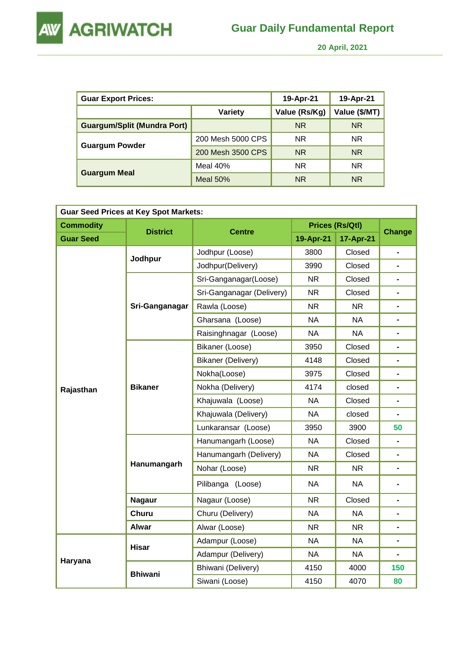



 **20 April, 2021** 

| <b>Guar Export Prices:</b>         | 19-Apr-21         | 19-Apr-21     |               |
|------------------------------------|-------------------|---------------|---------------|
|                                    | <b>Variety</b>    | Value (Rs/Kg) | Value (\$/MT) |
| <b>Guargum/Split (Mundra Port)</b> |                   | <b>NR</b>     | <b>NR</b>     |
|                                    | 200 Mesh 5000 CPS | <b>NR</b>     | NR.           |
| <b>Guargum Powder</b>              | 200 Mesh 3500 CPS | <b>NR</b>     | <b>NR</b>     |
|                                    | Meal $40%$        | <b>NR</b>     | <b>NR</b>     |
| <b>Guargum Meal</b>                | Meal $50%$        | <b>NR</b>     | <b>NR</b>     |

| <b>Guar Seed Prices at Key Spot Markets:</b> |                 |                           |           |                        |                          |  |  |  |
|----------------------------------------------|-----------------|---------------------------|-----------|------------------------|--------------------------|--|--|--|
| <b>Commodity</b>                             | <b>District</b> |                           |           | <b>Prices (Rs/Qtl)</b> |                          |  |  |  |
| <b>Guar Seed</b>                             |                 | <b>Centre</b>             | 19-Apr-21 | 17-Apr-21              | <b>Change</b>            |  |  |  |
|                                              | Jodhpur         | Jodhpur (Loose)           | 3800      | Closed                 | $\blacksquare$           |  |  |  |
|                                              |                 | Jodhpur(Delivery)         | 3990      | Closed                 |                          |  |  |  |
|                                              |                 | Sri-Ganganagar(Loose)     | <b>NR</b> | Closed                 | $\overline{\phantom{0}}$ |  |  |  |
|                                              |                 | Sri-Ganganagar (Delivery) | <b>NR</b> | Closed                 |                          |  |  |  |
|                                              | Sri-Ganganagar  | Rawla (Loose)             | <b>NR</b> | <b>NR</b>              | -                        |  |  |  |
|                                              |                 | Gharsana (Loose)          | <b>NA</b> | <b>NA</b>              | $\blacksquare$           |  |  |  |
|                                              |                 | Raisinghnagar (Loose)     | <b>NA</b> | <b>NA</b>              | Ξ.                       |  |  |  |
|                                              | <b>Bikaner</b>  | Bikaner (Loose)           | 3950      | Closed                 | $\blacksquare$           |  |  |  |
|                                              |                 | Bikaner (Delivery)        | 4148      | Closed                 | $\blacksquare$           |  |  |  |
|                                              |                 | Nokha(Loose)              | 3975      | Closed                 |                          |  |  |  |
| Rajasthan                                    |                 | Nokha (Delivery)          | 4174      | closed                 | $\blacksquare$           |  |  |  |
|                                              |                 | Khajuwala (Loose)         | <b>NA</b> | Closed                 | $\blacksquare$           |  |  |  |
|                                              |                 | Khajuwala (Delivery)      | <b>NA</b> | closed                 |                          |  |  |  |
|                                              |                 | Lunkaransar (Loose)       | 3950      | 3900                   | 50                       |  |  |  |
|                                              |                 | Hanumangarh (Loose)       | <b>NA</b> | Closed                 | $\overline{\phantom{0}}$ |  |  |  |
|                                              |                 | Hanumangarh (Delivery)    | <b>NA</b> | Closed                 | $\blacksquare$           |  |  |  |
|                                              | Hanumangarh     | Nohar (Loose)             | <b>NR</b> | <b>NR</b>              | $\blacksquare$           |  |  |  |
|                                              |                 | Pilibanga (Loose)         | <b>NA</b> | <b>NA</b>              |                          |  |  |  |
|                                              | <b>Nagaur</b>   | Nagaur (Loose)            | <b>NR</b> | Closed                 | $\blacksquare$           |  |  |  |
|                                              | Churu           | Churu (Delivery)          | <b>NA</b> | <b>NA</b>              | $\blacksquare$           |  |  |  |
|                                              | <b>Alwar</b>    | Alwar (Loose)             | <b>NR</b> | <b>NR</b>              | $\blacksquare$           |  |  |  |
|                                              |                 | Adampur (Loose)           | <b>NA</b> | <b>NA</b>              | $\blacksquare$           |  |  |  |
|                                              | <b>Hisar</b>    | Adampur (Delivery)        | <b>NA</b> | <b>NA</b>              | $\blacksquare$           |  |  |  |
| Haryana                                      |                 | Bhiwani (Delivery)        | 4150      | 4000                   | 150                      |  |  |  |
|                                              | <b>Bhiwani</b>  | Siwani (Loose)            | 4150      | 4070                   | 80                       |  |  |  |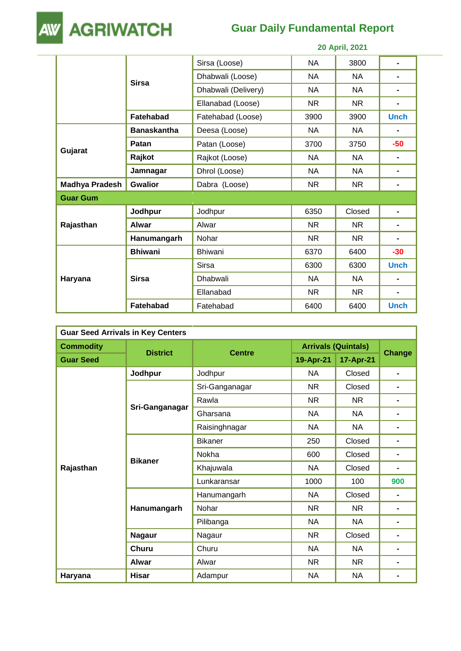

## **Guar Daily Fundamental Report**

| 20 April, 2021        |                    |                     |           |           |                |
|-----------------------|--------------------|---------------------|-----------|-----------|----------------|
|                       |                    | Sirsa (Loose)       | <b>NA</b> | 3800      | $\blacksquare$ |
|                       | <b>Sirsa</b>       | Dhabwali (Loose)    | <b>NA</b> | <b>NA</b> |                |
|                       |                    | Dhabwali (Delivery) | <b>NA</b> | NA        |                |
|                       |                    | Ellanabad (Loose)   | <b>NR</b> | <b>NR</b> |                |
|                       | <b>Fatehabad</b>   | Fatehabad (Loose)   | 3900      | 3900      | <b>Unch</b>    |
|                       | <b>Banaskantha</b> | Deesa (Loose)       | <b>NA</b> | <b>NA</b> | $\blacksquare$ |
|                       | Patan              | Patan (Loose)       | 3700      | 3750      | $-50$          |
| Gujarat               | Rajkot             | Rajkot (Loose)      | <b>NA</b> | <b>NA</b> |                |
|                       | Jamnagar           | Dhrol (Loose)       | <b>NA</b> | <b>NA</b> |                |
| <b>Madhya Pradesh</b> | <b>Gwalior</b>     | Dabra (Loose)       | NR.       | <b>NR</b> |                |
| <b>Guar Gum</b>       |                    |                     |           |           |                |
|                       | Jodhpur            | Jodhpur             | 6350      | Closed    | $\blacksquare$ |
| Rajasthan             | <b>Alwar</b>       | Alwar               | <b>NR</b> | <b>NR</b> | $\blacksquare$ |
|                       | Hanumangarh        | Nohar               | <b>NR</b> | <b>NR</b> | $\blacksquare$ |
|                       | <b>Bhiwani</b>     | <b>Bhiwani</b>      | 6370      | 6400      | $-30$          |
| Haryana               |                    | <b>Sirsa</b>        | 6300      | 6300      | <b>Unch</b>    |
|                       | <b>Sirsa</b>       | Dhabwali            | <b>NA</b> | <b>NA</b> |                |
|                       |                    | Ellanabad           | NR.       | NR.       | $\blacksquare$ |
|                       | <b>Fatehabad</b>   | Fatehabad           | 6400      | 6400      | <b>Unch</b>    |

| <b>Guar Seed Arrivals in Key Centers</b> |                 |                |                            |           |                |  |  |  |
|------------------------------------------|-----------------|----------------|----------------------------|-----------|----------------|--|--|--|
| <b>Commodity</b>                         | <b>District</b> | <b>Centre</b>  | <b>Arrivals (Quintals)</b> |           |                |  |  |  |
| <b>Guar Seed</b>                         |                 |                | 19-Apr-21                  | 17-Apr-21 | <b>Change</b>  |  |  |  |
|                                          | Jodhpur         | Jodhpur        | <b>NA</b>                  | Closed    | Ξ.             |  |  |  |
|                                          |                 | Sri-Ganganagar | <b>NR</b>                  | Closed    |                |  |  |  |
|                                          |                 | Rawla          | <b>NR</b>                  | <b>NR</b> |                |  |  |  |
|                                          | Sri-Ganganagar  | Gharsana       | <b>NA</b>                  | <b>NA</b> |                |  |  |  |
|                                          |                 | Raisinghnagar  | <b>NA</b>                  | <b>NA</b> |                |  |  |  |
|                                          | <b>Bikaner</b>  | <b>Bikaner</b> | 250                        | Closed    |                |  |  |  |
|                                          |                 | Nokha          | 600                        | Closed    |                |  |  |  |
| Rajasthan                                |                 | Khajuwala      | <b>NA</b>                  | Closed    |                |  |  |  |
|                                          |                 | Lunkaransar    | 1000                       | 100       | 900            |  |  |  |
|                                          |                 | Hanumangarh    | <b>NA</b>                  | Closed    |                |  |  |  |
|                                          | Hanumangarh     | Nohar          | <b>NR</b>                  | <b>NR</b> |                |  |  |  |
|                                          |                 | Pilibanga      | <b>NA</b>                  | <b>NA</b> |                |  |  |  |
|                                          | <b>Nagaur</b>   | Nagaur         | <b>NR</b>                  | Closed    | $\blacksquare$ |  |  |  |
|                                          | <b>Churu</b>    | Churu          | <b>NA</b>                  | <b>NA</b> | -              |  |  |  |
|                                          | <b>Alwar</b>    | Alwar          | <b>NR</b>                  | <b>NR</b> | -              |  |  |  |
| Haryana                                  | <b>Hisar</b>    | Adampur        | <b>NA</b>                  | <b>NA</b> |                |  |  |  |